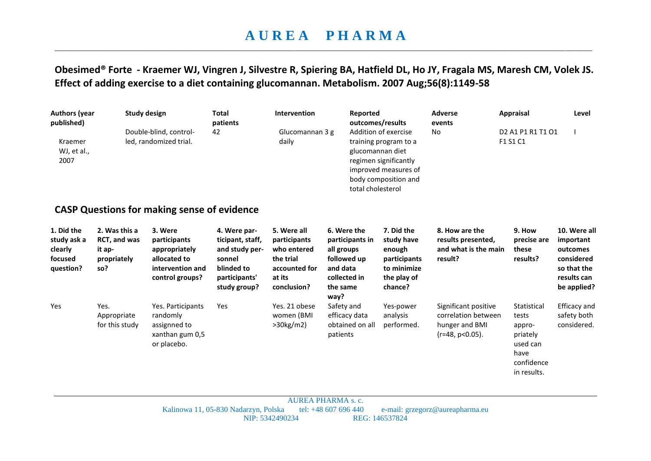## **A U R E A P H A R M A**  \_\_\_\_\_\_\_\_\_\_\_\_\_\_\_\_\_\_\_\_\_\_\_\_\_\_\_\_\_\_\_\_\_\_\_\_\_\_\_\_\_\_\_\_\_\_\_\_\_\_\_\_\_\_\_\_\_\_\_\_\_\_\_\_\_\_\_\_\_\_\_\_\_\_\_\_\_\_\_\_\_\_\_\_\_\_\_\_\_\_\_\_\_\_\_\_\_\_\_\_\_\_\_\_\_\_\_\_\_\_\_\_\_\_\_\_\_\_\_\_\_\_\_\_\_\_\_\_\_\_\_\_\_\_\_\_\_\_\_

**Obesimed® Forte - Kraemer WJ, Vingren J, Silvestre R, Spiering BA, Hatfield DL, Ho JY, Fragala MS, Maresh CM, Volek JS. Effect of adding exercise to a diet containing glucomannan. Metabolism. 2007 Aug;56(8):1149-58** 

| <b>Authors (year</b><br>published)<br>Kraemer<br>WJ, et al.,<br>2007 |                                              | <b>Study design</b><br>Double-blind, control-<br>led, randomized trial.              | <b>Total</b><br>patients<br>42                                                              | Intervention<br>Glucomannan 3 g<br>daily                                           | Reported                                                                                     | outcomes/results<br>Addition of exercise<br>training program to a<br>glucomannan diet<br>regimen significantly<br>improved measures of<br>body composition and<br>total cholesterol | <b>Adverse</b><br>events<br><b>No</b>                                               | <b>Appraisal</b><br>D <sub>2</sub> A <sub>1</sub> P <sub>1</sub> R <sub>1</sub> T <sub>1</sub> O <sub>1</sub><br>F1 S1 C1 | Level                                                                            |
|----------------------------------------------------------------------|----------------------------------------------|--------------------------------------------------------------------------------------|---------------------------------------------------------------------------------------------|------------------------------------------------------------------------------------|----------------------------------------------------------------------------------------------|-------------------------------------------------------------------------------------------------------------------------------------------------------------------------------------|-------------------------------------------------------------------------------------|---------------------------------------------------------------------------------------------------------------------------|----------------------------------------------------------------------------------|
| 1. Did the                                                           | 2. Was this a                                | <b>CASP Questions for making sense of evidence</b><br>3. Were                        | 4. Were par-                                                                                | 5. Were all                                                                        | 6. Were the                                                                                  | 7. Did the                                                                                                                                                                          | 8. How are the                                                                      | 9. How                                                                                                                    | 10. Were all                                                                     |
| study ask a<br>clearly<br>focused<br>question?                       | RCT, and was<br>it ap-<br>propriately<br>so? | participants<br>appropriately<br>allocated to<br>intervention and<br>control groups? | ticipant, staff,<br>and study per-<br>sonnel<br>blinded to<br>participants'<br>study group? | participants<br>who entered<br>the trial<br>accounted for<br>at its<br>conclusion? | participants in<br>all groups<br>followed up<br>and data<br>collected in<br>the same<br>way? | study have<br>enough<br>participants<br>to minimize<br>the play of<br>chance?                                                                                                       | results presented,<br>and what is the main<br>result?                               | precise are<br>these<br>results?                                                                                          | important<br>outcomes<br>considered<br>so that the<br>results can<br>be applied? |
| Yes                                                                  | Yes.<br>Appropriate<br>for this study        | Yes. Participants<br>randomly<br>assignned to<br>xanthan gum 0,5<br>or placebo.      | Yes                                                                                         | Yes. 21 obese<br>women (BMI<br>>30kg/m2)                                           | Safety and<br>efficacy data<br>obtained on all<br>patients                                   | Yes-power<br>analysis<br>performed.                                                                                                                                                 | Significant positive<br>correlation between<br>hunger and BMI<br>$(r=48, p<0.05)$ . | Statistical<br>tests<br>appro-<br>priately<br>used can<br>have<br>confidence<br>in results.                               | Efficacy and<br>safety both<br>considered.                                       |